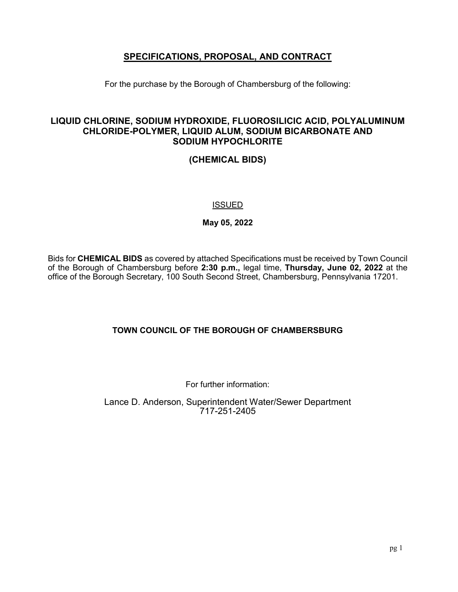# **SPECIFICATIONS, PROPOSAL, AND CONTRACT**

For the purchase by the Borough of Chambersburg of the following:

# **LIQUID CHLORINE, SODIUM HYDROXIDE, FLUOROSILICIC ACID, POLYALUMINUM CHLORIDE-POLYMER, LIQUID ALUM, SODIUM BICARBONATE AND SODIUM HYPOCHLORITE**

**(CHEMICAL BIDS)**

## ISSUED

**May 05, 2022**

Bids for **CHEMICAL BIDS** as covered by attached Specifications must be received by Town Council of the Borough of Chambersburg before **2:30 p.m.,** legal time, **Thursday, June 02, 2022** at the office of the Borough Secretary, 100 South Second Street, Chambersburg, Pennsylvania 17201.

# **TOWN COUNCIL OF THE BOROUGH OF CHAMBERSBURG**

For further information:

Lance D. Anderson, Superintendent Water/Sewer Department 717-251-2405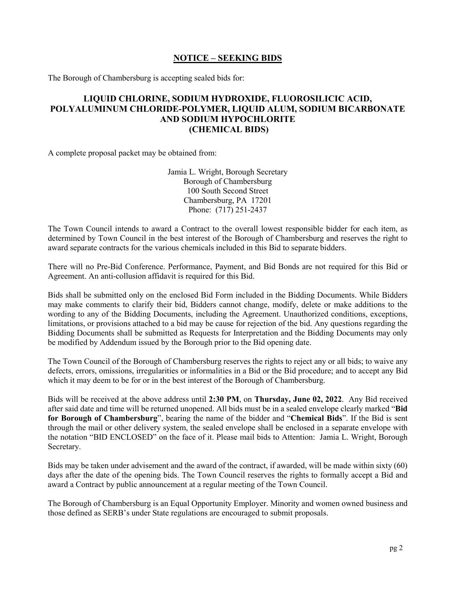## **NOTICE – SEEKING BIDS**

The Borough of Chambersburg is accepting sealed bids for:

## **LIQUID CHLORINE, SODIUM HYDROXIDE, FLUOROSILICIC ACID, POLYALUMINUM CHLORIDE-POLYMER, LIQUID ALUM, SODIUM BICARBONATE AND SODIUM HYPOCHLORITE (CHEMICAL BIDS)**

A complete proposal packet may be obtained from:

Jamia L. Wright, Borough Secretary Borough of Chambersburg 100 South Second Street Chambersburg, PA 17201 Phone: (717) 251-2437

The Town Council intends to award a Contract to the overall lowest responsible bidder for each item, as determined by Town Council in the best interest of the Borough of Chambersburg and reserves the right to award separate contracts for the various chemicals included in this Bid to separate bidders.

There will no Pre-Bid Conference. Performance, Payment, and Bid Bonds are not required for this Bid or Agreement. An anti-collusion affidavit is required for this Bid.

Bids shall be submitted only on the enclosed Bid Form included in the Bidding Documents. While Bidders may make comments to clarify their bid, Bidders cannot change, modify, delete or make additions to the wording to any of the Bidding Documents, including the Agreement. Unauthorized conditions, exceptions, limitations, or provisions attached to a bid may be cause for rejection of the bid. Any questions regarding the Bidding Documents shall be submitted as Requests for Interpretation and the Bidding Documents may only be modified by Addendum issued by the Borough prior to the Bid opening date.

The Town Council of the Borough of Chambersburg reserves the rights to reject any or all bids; to waive any defects, errors, omissions, irregularities or informalities in a Bid or the Bid procedure; and to accept any Bid which it may deem to be for or in the best interest of the Borough of Chambersburg.

Bids will be received at the above address until **2:30 PM**, on **Thursday, June 02, 2022**. Any Bid received after said date and time will be returned unopened. All bids must be in a sealed envelope clearly marked "**Bid for Borough of Chambersburg**", bearing the name of the bidder and "**Chemical Bids**". If the Bid is sent through the mail or other delivery system, the sealed envelope shall be enclosed in a separate envelope with the notation "BID ENCLOSED" on the face of it. Please mail bids to Attention: Jamia L. Wright, Borough Secretary.

Bids may be taken under advisement and the award of the contract, if awarded, will be made within sixty (60) days after the date of the opening bids. The Town Council reserves the rights to formally accept a Bid and award a Contract by public announcement at a regular meeting of the Town Council.

The Borough of Chambersburg is an Equal Opportunity Employer. Minority and women owned business and those defined as SERB's under State regulations are encouraged to submit proposals.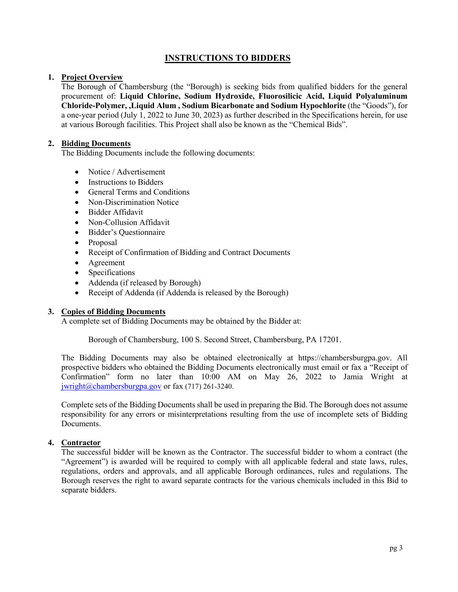## **INSTRUCTIONS TO BIDDERS**

## **1. Project Overview**

The Borough of Chambersburg (the "Borough) is seeking bids from qualified bidders for the general procurement of: **Liquid Chlorine, Sodium Hydroxide, Fluorosilicic Acid, Liquid Polyaluminum Chloride-Polymer, ,Liquid Alum , Sodium Bicarbonate and Sodium Hypochlorite** (the "Goods"), for a one-year period (July 1, 2022 to June 30, 2023) as further described in the Specifications herein, for use at various Borough facilities. This Project shall also be known as the "Chemical Bids".

## **2. Bidding Documents**

The Bidding Documents include the following documents:

- Notice / Advertisement
- Instructions to Bidders
- General Terms and Conditions
- Non-Discrimination Notice
- Bidder Affidavit
- Non-Collusion Affidavit
- Bidder's Questionnaire
- Proposal
- Receipt of Confirmation of Bidding and Contract Documents
- Agreement
- Specifications
- Addenda (if released by Borough)
- Receipt of Addenda (if Addenda is released by the Borough)

### **3. Copies of Bidding Documents**

A complete set of Bidding Documents may be obtained by the Bidder at:

Borough of Chambersburg, 100 S. Second Street, Chambersburg, PA 17201.

The Bidding Documents may also be obtained electronically at https://chambersburgpa.gov. All prospective bidders who obtained the Bidding Documents electronically must email or fax a "Receipt of Confirmation" form no later than 10:00 AM on May 26, 2022 to Jamia Wright at [jwright@chambersburgpa.gov](mailto:jwright@chambersburgpa.gov) or fax  $(717)$  261-3240.

Complete sets of the Bidding Documents shall be used in preparing the Bid. The Borough does not assume responsibility for any errors or misinterpretations resulting from the use of incomplete sets of Bidding Documents.

## **4. Contractor**

The successful bidder will be known as the Contractor. The successful bidder to whom a contract (the "Agreement") is awarded will be required to comply with all applicable federal and state laws, rules, regulations, orders and approvals, and all applicable Borough ordinances, rules and regulations. The Borough reserves the right to award separate contracts for the various chemicals included in this Bid to separate bidders.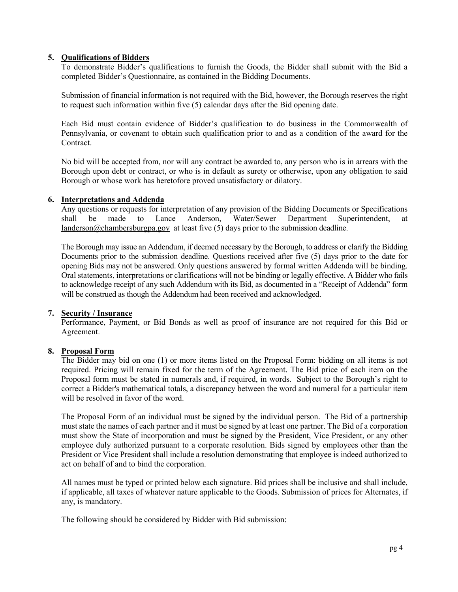## **5. Qualifications of Bidders**

To demonstrate Bidder's qualifications to furnish the Goods, the Bidder shall submit with the Bid a completed Bidder's Questionnaire, as contained in the Bidding Documents.

Submission of financial information is not required with the Bid, however, the Borough reserves the right to request such information within five (5) calendar days after the Bid opening date.

Each Bid must contain evidence of Bidder's qualification to do business in the Commonwealth of Pennsylvania, or covenant to obtain such qualification prior to and as a condition of the award for the Contract.

No bid will be accepted from, nor will any contract be awarded to, any person who is in arrears with the Borough upon debt or contract, or who is in default as surety or otherwise, upon any obligation to said Borough or whose work has heretofore proved unsatisfactory or dilatory.

### **6. Interpretations and Addenda**

Any questions or requests for interpretation of any provision of the Bidding Documents or Specifications shall be made to Lance Anderson, Water/Sewer Department Superintendent, at be made to Lance Anderson, Water/Sewer Department Superintendent, at [landerson@chambersburgpa.gov](mailto:pwolgemuth@chambersburgpa.gov) at least five (5) days prior to the submission deadline.

The Borough may issue an Addendum, if deemed necessary by the Borough, to address or clarify the Bidding Documents prior to the submission deadline. Questions received after five (5) days prior to the date for opening Bids may not be answered. Only questions answered by formal written Addenda will be binding. Oral statements, interpretations or clarifications will not be binding or legally effective. A Bidder who fails to acknowledge receipt of any such Addendum with its Bid, as documented in a "Receipt of Addenda" form will be construed as though the Addendum had been received and acknowledged.

### **7. Security / Insurance**

Performance, Payment, or Bid Bonds as well as proof of insurance are not required for this Bid or Agreement.

### **8. Proposal Form**

The Bidder may bid on one (1) or more items listed on the Proposal Form: bidding on all items is not required. Pricing will remain fixed for the term of the Agreement. The Bid price of each item on the Proposal form must be stated in numerals and, if required, in words. Subject to the Borough's right to correct a Bidder's mathematical totals, a discrepancy between the word and numeral for a particular item will be resolved in favor of the word.

The Proposal Form of an individual must be signed by the individual person. The Bid of a partnership must state the names of each partner and it must be signed by at least one partner. The Bid of a corporation must show the State of incorporation and must be signed by the President, Vice President, or any other employee duly authorized pursuant to a corporate resolution. Bids signed by employees other than the President or Vice President shall include a resolution demonstrating that employee is indeed authorized to act on behalf of and to bind the corporation.

All names must be typed or printed below each signature. Bid prices shall be inclusive and shall include, if applicable, all taxes of whatever nature applicable to the Goods. Submission of prices for Alternates, if any, is mandatory.

The following should be considered by Bidder with Bid submission: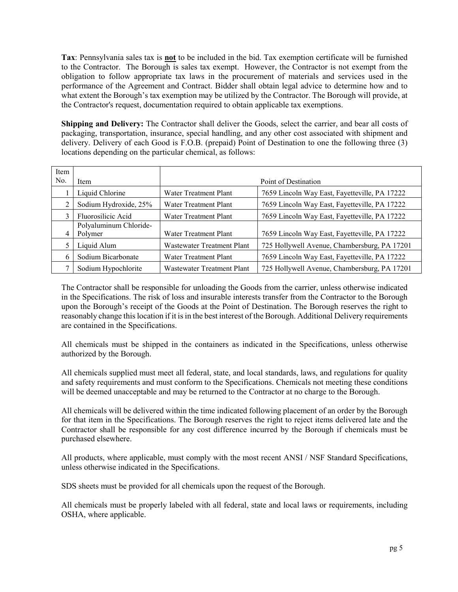**Tax**: Pennsylvania sales tax is **not** to be included in the bid. Tax exemption certificate will be furnished to the Contractor. The Borough is sales tax exempt. However, the Contractor is not exempt from the obligation to follow appropriate tax laws in the procurement of materials and services used in the performance of the Agreement and Contract. Bidder shall obtain legal advice to determine how and to what extent the Borough's tax exemption may be utilized by the Contractor. The Borough will provide, at the Contractor's request, documentation required to obtain applicable tax exemptions.

**Shipping and Delivery:** The Contractor shall deliver the Goods, select the carrier, and bear all costs of packaging, transportation, insurance, special handling, and any other cost associated with shipment and delivery. Delivery of each Good is F.O.B. (prepaid) Point of Destination to one the following three (3) locations depending on the particular chemical, as follows:

| Item |                                   |                            |                                               |
|------|-----------------------------------|----------------------------|-----------------------------------------------|
| No.  | Item                              |                            | Point of Destination                          |
|      | Liquid Chlorine                   | Water Treatment Plant      | 7659 Lincoln Way East, Fayetteville, PA 17222 |
| 2    | Sodium Hydroxide, 25%             | Water Treatment Plant      | 7659 Lincoln Way East, Fayetteville, PA 17222 |
| 3    | Fluorosilicic Acid                | Water Treatment Plant      | 7659 Lincoln Way East, Fayetteville, PA 17222 |
| 4    | Polyaluminum Chloride-<br>Polymer | Water Treatment Plant      | 7659 Lincoln Way East, Fayetteville, PA 17222 |
| 5    | Liquid Alum                       | Wastewater Treatment Plant | 725 Hollywell Avenue, Chambersburg, PA 17201  |
| 6    | Sodium Bicarbonate                | Water Treatment Plant      | 7659 Lincoln Way East, Fayetteville, PA 17222 |
|      | Sodium Hypochlorite               | Wastewater Treatment Plant | 725 Hollywell Avenue, Chambersburg, PA 17201  |

The Contractor shall be responsible for unloading the Goods from the carrier, unless otherwise indicated in the Specifications. The risk of loss and insurable interests transfer from the Contractor to the Borough upon the Borough's receipt of the Goods at the Point of Destination. The Borough reserves the right to reasonably change this location if it is in the best interest of the Borough. Additional Delivery requirements are contained in the Specifications.

All chemicals must be shipped in the containers as indicated in the Specifications, unless otherwise authorized by the Borough.

All chemicals supplied must meet all federal, state, and local standards, laws, and regulations for quality and safety requirements and must conform to the Specifications. Chemicals not meeting these conditions will be deemed unacceptable and may be returned to the Contractor at no charge to the Borough.

All chemicals will be delivered within the time indicated following placement of an order by the Borough for that item in the Specifications. The Borough reserves the right to reject items delivered late and the Contractor shall be responsible for any cost difference incurred by the Borough if chemicals must be purchased elsewhere.

All products, where applicable, must comply with the most recent ANSI / NSF Standard Specifications, unless otherwise indicated in the Specifications.

SDS sheets must be provided for all chemicals upon the request of the Borough.

All chemicals must be properly labeled with all federal, state and local laws or requirements, including OSHA, where applicable.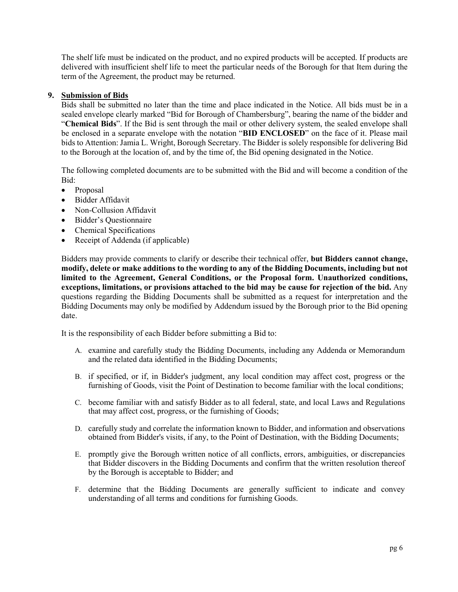The shelf life must be indicated on the product, and no expired products will be accepted. If products are delivered with insufficient shelf life to meet the particular needs of the Borough for that Item during the term of the Agreement, the product may be returned.

### **9. Submission of Bids**

Bids shall be submitted no later than the time and place indicated in the Notice. All bids must be in a sealed envelope clearly marked "Bid for Borough of Chambersburg", bearing the name of the bidder and "**Chemical Bids**". If the Bid is sent through the mail or other delivery system, the sealed envelope shall be enclosed in a separate envelope with the notation "**BID ENCLOSED**" on the face of it. Please mail bids to Attention: Jamia L. Wright, Borough Secretary. The Bidder is solely responsible for delivering Bid to the Borough at the location of, and by the time of, the Bid opening designated in the Notice.

The following completed documents are to be submitted with the Bid and will become a condition of the Bid:

- Proposal
- Bidder Affidavit
- Non-Collusion Affidavit
- Bidder's Questionnaire
- Chemical Specifications
- Receipt of Addenda (if applicable)

Bidders may provide comments to clarify or describe their technical offer, **but Bidders cannot change, modify, delete or make additions to the wording to any of the Bidding Documents, including but not limited to the Agreement, General Conditions, or the Proposal form. Unauthorized conditions, exceptions, limitations, or provisions attached to the bid may be cause for rejection of the bid.** Any questions regarding the Bidding Documents shall be submitted as a request for interpretation and the Bidding Documents may only be modified by Addendum issued by the Borough prior to the Bid opening date.

It is the responsibility of each Bidder before submitting a Bid to:

- A. examine and carefully study the Bidding Documents, including any Addenda or Memorandum and the related data identified in the Bidding Documents;
- B. if specified, or if, in Bidder's judgment, any local condition may affect cost, progress or the furnishing of Goods, visit the Point of Destination to become familiar with the local conditions;
- C. become familiar with and satisfy Bidder as to all federal, state, and local Laws and Regulations that may affect cost, progress, or the furnishing of Goods;
- D. carefully study and correlate the information known to Bidder, and information and observations obtained from Bidder's visits, if any, to the Point of Destination, with the Bidding Documents;
- E. promptly give the Borough written notice of all conflicts, errors, ambiguities, or discrepancies that Bidder discovers in the Bidding Documents and confirm that the written resolution thereof by the Borough is acceptable to Bidder; and
- F. determine that the Bidding Documents are generally sufficient to indicate and convey understanding of all terms and conditions for furnishing Goods.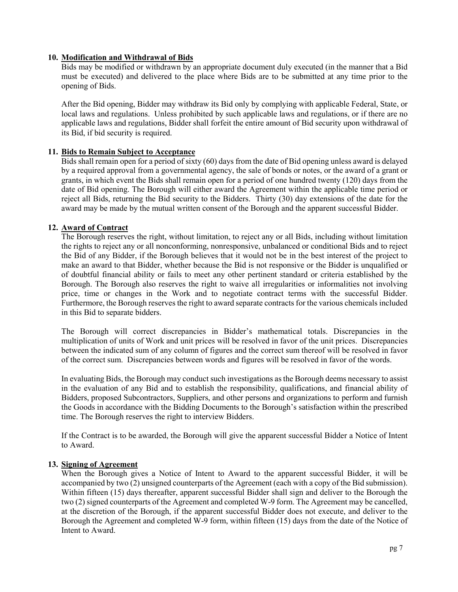## **10. Modification and Withdrawal of Bids**

Bids may be modified or withdrawn by an appropriate document duly executed (in the manner that a Bid must be executed) and delivered to the place where Bids are to be submitted at any time prior to the opening of Bids.

After the Bid opening, Bidder may withdraw its Bid only by complying with applicable Federal, State, or local laws and regulations. Unless prohibited by such applicable laws and regulations, or if there are no applicable laws and regulations, Bidder shall forfeit the entire amount of Bid security upon withdrawal of its Bid, if bid security is required.

### **11. Bids to Remain Subject to Acceptance**

Bids shall remain open for a period of sixty (60) days from the date of Bid opening unless award is delayed by a required approval from a governmental agency, the sale of bonds or notes, or the award of a grant or grants, in which event the Bids shall remain open for a period of one hundred twenty (120) days from the date of Bid opening. The Borough will either award the Agreement within the applicable time period or reject all Bids, returning the Bid security to the Bidders. Thirty (30) day extensions of the date for the award may be made by the mutual written consent of the Borough and the apparent successful Bidder.

#### **12. Award of Contract**

The Borough reserves the right, without limitation, to reject any or all Bids, including without limitation the rights to reject any or all nonconforming, nonresponsive, unbalanced or conditional Bids and to reject the Bid of any Bidder, if the Borough believes that it would not be in the best interest of the project to make an award to that Bidder, whether because the Bid is not responsive or the Bidder is unqualified or of doubtful financial ability or fails to meet any other pertinent standard or criteria established by the Borough. The Borough also reserves the right to waive all irregularities or informalities not involving price, time or changes in the Work and to negotiate contract terms with the successful Bidder. Furthermore, the Borough reserves the right to award separate contracts for the various chemicals included in this Bid to separate bidders.

The Borough will correct discrepancies in Bidder's mathematical totals. Discrepancies in the multiplication of units of Work and unit prices will be resolved in favor of the unit prices. Discrepancies between the indicated sum of any column of figures and the correct sum thereof will be resolved in favor of the correct sum. Discrepancies between words and figures will be resolved in favor of the words.

In evaluating Bids, the Borough may conduct such investigations as the Borough deems necessary to assist in the evaluation of any Bid and to establish the responsibility, qualifications, and financial ability of Bidders, proposed Subcontractors, Suppliers, and other persons and organizations to perform and furnish the Goods in accordance with the Bidding Documents to the Borough's satisfaction within the prescribed time. The Borough reserves the right to interview Bidders.

If the Contract is to be awarded, the Borough will give the apparent successful Bidder a Notice of Intent to Award.

#### **13. Signing of Agreement**

When the Borough gives a Notice of Intent to Award to the apparent successful Bidder, it will be accompanied by two (2) unsigned counterparts of the Agreement (each with a copy of the Bid submission). Within fifteen (15) days thereafter, apparent successful Bidder shall sign and deliver to the Borough the two (2) signed counterparts of the Agreement and completed W-9 form. The Agreement may be cancelled, at the discretion of the Borough, if the apparent successful Bidder does not execute, and deliver to the Borough the Agreement and completed W-9 form, within fifteen (15) days from the date of the Notice of Intent to Award.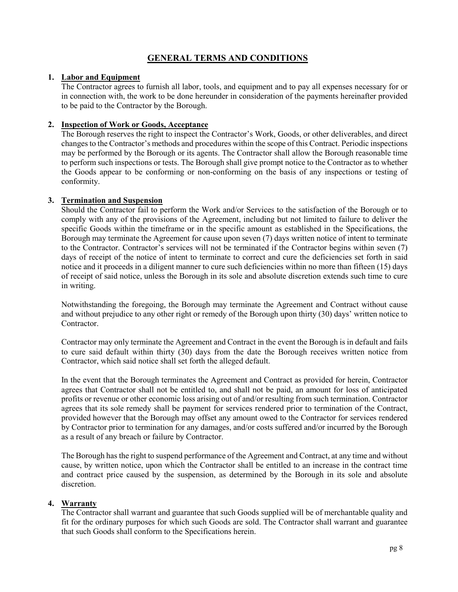# **GENERAL TERMS AND CONDITIONS**

### **1. Labor and Equipment**

The Contractor agrees to furnish all labor, tools, and equipment and to pay all expenses necessary for or in connection with, the work to be done hereunder in consideration of the payments hereinafter provided to be paid to the Contractor by the Borough.

## **2. Inspection of Work or Goods, Acceptance**

The Borough reserves the right to inspect the Contractor's Work, Goods, or other deliverables, and direct changes to the Contractor's methods and procedures within the scope of this Contract. Periodic inspections may be performed by the Borough or its agents. The Contractor shall allow the Borough reasonable time to perform such inspections or tests. The Borough shall give prompt notice to the Contractor as to whether the Goods appear to be conforming or non-conforming on the basis of any inspections or testing of conformity.

## **3. Termination and Suspension**

Should the Contractor fail to perform the Work and/or Services to the satisfaction of the Borough or to comply with any of the provisions of the Agreement, including but not limited to failure to deliver the specific Goods within the timeframe or in the specific amount as established in the Specifications, the Borough may terminate the Agreement for cause upon seven (7) days written notice of intent to terminate to the Contractor. Contractor's services will not be terminated if the Contractor begins within seven (7) days of receipt of the notice of intent to terminate to correct and cure the deficiencies set forth in said notice and it proceeds in a diligent manner to cure such deficiencies within no more than fifteen (15) days of receipt of said notice, unless the Borough in its sole and absolute discretion extends such time to cure in writing.

Notwithstanding the foregoing, the Borough may terminate the Agreement and Contract without cause and without prejudice to any other right or remedy of the Borough upon thirty (30) days' written notice to Contractor.

Contractor may only terminate the Agreement and Contract in the event the Borough is in default and fails to cure said default within thirty (30) days from the date the Borough receives written notice from Contractor, which said notice shall set forth the alleged default.

In the event that the Borough terminates the Agreement and Contract as provided for herein, Contractor agrees that Contractor shall not be entitled to, and shall not be paid, an amount for loss of anticipated profits or revenue or other economic loss arising out of and/or resulting from such termination. Contractor agrees that its sole remedy shall be payment for services rendered prior to termination of the Contract, provided however that the Borough may offset any amount owed to the Contractor for services rendered by Contractor prior to termination for any damages, and/or costs suffered and/or incurred by the Borough as a result of any breach or failure by Contractor.

The Borough has the right to suspend performance of the Agreement and Contract, at any time and without cause, by written notice, upon which the Contractor shall be entitled to an increase in the contract time and contract price caused by the suspension, as determined by the Borough in its sole and absolute discretion.

## **4. Warranty**

The Contractor shall warrant and guarantee that such Goods supplied will be of merchantable quality and fit for the ordinary purposes for which such Goods are sold. The Contractor shall warrant and guarantee that such Goods shall conform to the Specifications herein.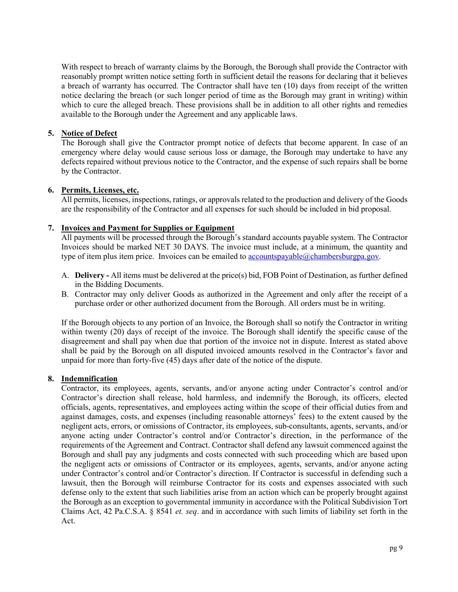With respect to breach of warranty claims by the Borough, the Borough shall provide the Contractor with reasonably prompt written notice setting forth in sufficient detail the reasons for declaring that it believes a breach of warranty has occurred. The Contractor shall have ten (10) days from receipt of the written notice declaring the breach (or such longer period of time as the Borough may grant in writing) within which to cure the alleged breach. These provisions shall be in addition to all other rights and remedies available to the Borough under the Agreement and any applicable laws.

## **5. Notice of Defect**

The Borough shall give the Contractor prompt notice of defects that become apparent. In case of an emergency where delay would cause serious loss or damage, the Borough may undertake to have any defects repaired without previous notice to the Contractor, and the expense of such repairs shall be borne by the Contractor.

### **6. Permits, Licenses, etc.**

All permits, licenses, inspections, ratings, or approvals related to the production and delivery of the Goods are the responsibility of the Contractor and all expenses for such should be included in bid proposal.

## **7. Invoices and Payment for Supplies or Equipment**

All payments will be processed through the Borough's standard accounts payable system. The Contractor Invoices should be marked NET 30 DAYS. The invoice must include, at a minimum, the quantity and type of item plus item price. Invoices can be emailed to accountspayable@chambersburgpa.gov.

- A. **Delivery -** All items must be delivered at the price(s) bid, FOB Point of Destination, as further defined in the Bidding Documents.
- B. Contractor may only deliver Goods as authorized in the Agreement and only after the receipt of a purchase order or other authorized document from the Borough. All orders must be in writing.

If the Borough objects to any portion of an Invoice, the Borough shall so notify the Contractor in writing within twenty (20) days of receipt of the invoice. The Borough shall identify the specific cause of the disagreement and shall pay when due that portion of the invoice not in dispute. Interest as stated above shall be paid by the Borough on all disputed invoiced amounts resolved in the Contractor's favor and unpaid for more than forty-five (45) days after date of the notice of the dispute.

### **8. Indemnification**

Contractor, its employees, agents, servants, and/or anyone acting under Contractor's control and/or Contractor's direction shall release, hold harmless, and indemnify the Borough, its officers, elected officials, agents, representatives, and employees acting within the scope of their official duties from and against damages, costs, and expenses (including reasonable attorneys' fees) to the extent caused by the negligent acts, errors, or omissions of Contractor, its employees, sub-consultants, agents, servants, and/or anyone acting under Contractor's control and/or Contractor's direction, in the performance of the requirements of the Agreement and Contract. Contractor shall defend any lawsuit commenced against the Borough and shall pay any judgments and costs connected with such proceeding which are based upon the negligent acts or omissions of Contractor or its employees, agents, servants, and/or anyone acting under Contractor's control and/or Contractor's direction. If Contractor is successful in defending such a lawsuit, then the Borough will reimburse Contractor for its costs and expenses associated with such defense only to the extent that such liabilities arise from an action which can be properly brought against the Borough as an exception to governmental immunity in accordance with the Political Subdivision Tort Claims Act, 42 Pa.C.S.A. § 8541 *et. seq*. and in accordance with such limits of liability set forth in the Act.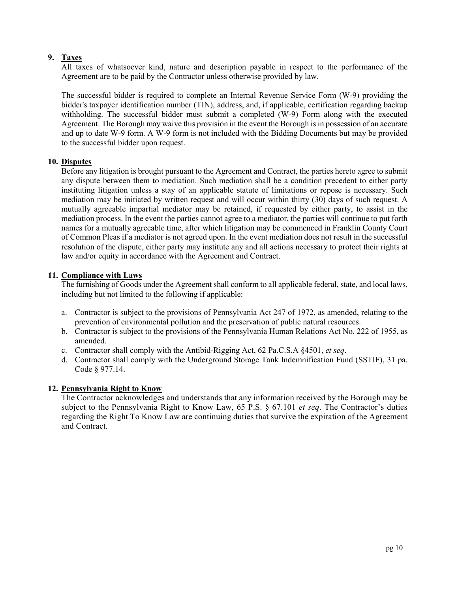## **9. Taxes**

All taxes of whatsoever kind, nature and description payable in respect to the performance of the Agreement are to be paid by the Contractor unless otherwise provided by law.

The successful bidder is required to complete an Internal Revenue Service Form (W-9) providing the bidder's taxpayer identification number (TIN), address, and, if applicable, certification regarding backup withholding. The successful bidder must submit a completed (W-9) Form along with the executed Agreement. The Borough may waive this provision in the event the Borough is in possession of an accurate and up to date W-9 form. A W-9 form is not included with the Bidding Documents but may be provided to the successful bidder upon request.

## **10. Disputes**

Before any litigation is brought pursuant to the Agreement and Contract, the parties hereto agree to submit any dispute between them to mediation. Such mediation shall be a condition precedent to either party instituting litigation unless a stay of an applicable statute of limitations or repose is necessary. Such mediation may be initiated by written request and will occur within thirty (30) days of such request. A mutually agreeable impartial mediator may be retained, if requested by either party, to assist in the mediation process. In the event the parties cannot agree to a mediator, the parties will continue to put forth names for a mutually agreeable time, after which litigation may be commenced in Franklin County Court of Common Pleas if a mediator is not agreed upon. In the event mediation does not result in the successful resolution of the dispute, either party may institute any and all actions necessary to protect their rights at law and/or equity in accordance with the Agreement and Contract.

## **11. Compliance with Laws**

The furnishing of Goods under the Agreement shall conform to all applicable federal, state, and local laws, including but not limited to the following if applicable:

- a. Contractor is subject to the provisions of Pennsylvania Act 247 of 1972, as amended, relating to the prevention of environmental pollution and the preservation of public natural resources.
- b. Contractor is subject to the provisions of the Pennsylvania Human Relations Act No. 222 of 1955, as amended.
- c. Contractor shall comply with the Antibid-Rigging Act, 62 Pa.C.S.A §4501, *et seq*.
- d. Contractor shall comply with the Underground Storage Tank Indemnification Fund (SSTIF), 31 pa. Code § 977.14.

### **12. Pennsylvania Right to Know**

The Contractor acknowledges and understands that any information received by the Borough may be subject to the Pennsylvania Right to Know Law, 65 P.S. § 67.101 *et seq*. The Contractor's duties regarding the Right To Know Law are continuing duties that survive the expiration of the Agreement and Contract.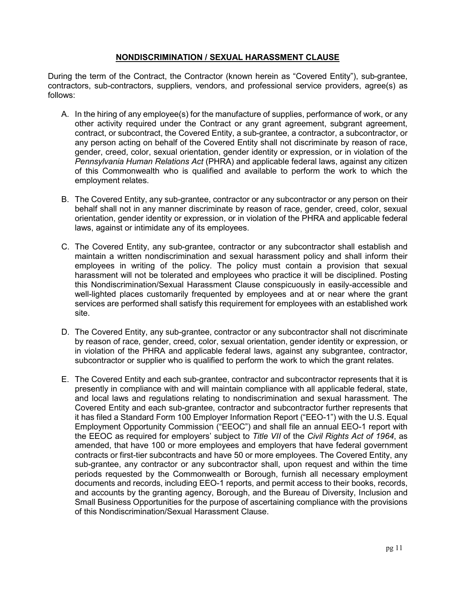## **NONDISCRIMINATION / SEXUAL HARASSMENT CLAUSE**

During the term of the Contract, the Contractor (known herein as "Covered Entity"), sub-grantee, contractors, sub-contractors, suppliers, vendors, and professional service providers, agree(s) as follows:

- A. In the hiring of any employee(s) for the manufacture of supplies, performance of work, or any other activity required under the Contract or any grant agreement, subgrant agreement, contract, or subcontract, the Covered Entity, a sub-grantee, a contractor, a subcontractor, or any person acting on behalf of the Covered Entity shall not discriminate by reason of race, gender, creed, color, sexual orientation, gender identity or expression, or in violation of the *Pennsylvania Human Relations Act* (PHRA) and applicable federal laws, against any citizen of this Commonwealth who is qualified and available to perform the work to which the employment relates.
- B. The Covered Entity, any sub-grantee, contractor or any subcontractor or any person on their behalf shall not in any manner discriminate by reason of race, gender, creed, color, sexual orientation, gender identity or expression, or in violation of the PHRA and applicable federal laws, against or intimidate any of its employees.
- C. The Covered Entity, any sub-grantee, contractor or any subcontractor shall establish and maintain a written nondiscrimination and sexual harassment policy and shall inform their employees in writing of the policy. The policy must contain a provision that sexual harassment will not be tolerated and employees who practice it will be disciplined. Posting this Nondiscrimination/Sexual Harassment Clause conspicuously in easily-accessible and well-lighted places customarily frequented by employees and at or near where the grant services are performed shall satisfy this requirement for employees with an established work site.
- D. The Covered Entity, any sub-grantee, contractor or any subcontractor shall not discriminate by reason of race, gender, creed, color, sexual orientation, gender identity or expression, or in violation of the PHRA and applicable federal laws, against any subgrantee, contractor, subcontractor or supplier who is qualified to perform the work to which the grant relates.
- E. The Covered Entity and each sub-grantee, contractor and subcontractor represents that it is presently in compliance with and will maintain compliance with all applicable federal, state, and local laws and regulations relating to nondiscrimination and sexual harassment. The Covered Entity and each sub-grantee, contractor and subcontractor further represents that it has filed a Standard Form 100 Employer Information Report ("EEO-1") with the U.S. Equal Employment Opportunity Commission ("EEOC") and shall file an annual EEO-1 report with the EEOC as required for employers' subject to *Title VII* of the *Civil Rights Act of 1964*, as amended, that have 100 or more employees and employers that have federal government contracts or first-tier subcontracts and have 50 or more employees. The Covered Entity, any sub-grantee, any contractor or any subcontractor shall, upon request and within the time periods requested by the Commonwealth or Borough, furnish all necessary employment documents and records, including EEO-1 reports, and permit access to their books, records, and accounts by the granting agency, Borough, and the Bureau of Diversity, Inclusion and Small Business Opportunities for the purpose of ascertaining compliance with the provisions of this Nondiscrimination/Sexual Harassment Clause.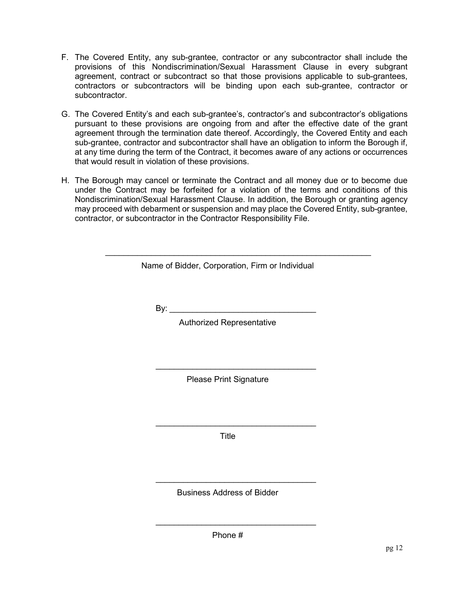- F. The Covered Entity, any sub-grantee, contractor or any subcontractor shall include the provisions of this Nondiscrimination/Sexual Harassment Clause in every subgrant agreement, contract or subcontract so that those provisions applicable to sub-grantees, contractors or subcontractors will be binding upon each sub-grantee, contractor or subcontractor.
- G. The Covered Entity's and each sub-grantee's, contractor's and subcontractor's obligations pursuant to these provisions are ongoing from and after the effective date of the grant agreement through the termination date thereof. Accordingly, the Covered Entity and each sub-grantee, contractor and subcontractor shall have an obligation to inform the Borough if, at any time during the term of the Contract, it becomes aware of any actions or occurrences that would result in violation of these provisions.
- H. The Borough may cancel or terminate the Contract and all money due or to become due under the Contract may be forfeited for a violation of the terms and conditions of this Nondiscrimination/Sexual Harassment Clause. In addition, the Borough or granting agency may proceed with debarment or suspension and may place the Covered Entity, sub-grantee, contractor, or subcontractor in the Contractor Responsibility File.

\_\_\_\_\_\_\_\_\_\_\_\_\_\_\_\_\_\_\_\_\_\_\_\_\_\_\_\_\_\_\_\_\_\_\_\_\_\_\_\_\_\_\_\_\_\_\_\_\_\_\_\_\_\_\_\_\_\_

By:  $\_\_$ 

Authorized Representative

Please Print Signature

 $\overline{\phantom{a}}$  , where the contract of the contract of the contract of the contract of the contract of the contract of the contract of the contract of the contract of the contract of the contract of the contract of the contr

Title

\_\_\_\_\_\_\_\_\_\_\_\_\_\_\_\_\_\_\_\_\_\_\_\_\_\_\_\_\_\_\_\_\_\_\_

Business Address of Bidder

\_\_\_\_\_\_\_\_\_\_\_\_\_\_\_\_\_\_\_\_\_\_\_\_\_\_\_\_\_\_\_\_\_\_\_

\_\_\_\_\_\_\_\_\_\_\_\_\_\_\_\_\_\_\_\_\_\_\_\_\_\_\_\_\_\_\_\_\_\_\_

Phone #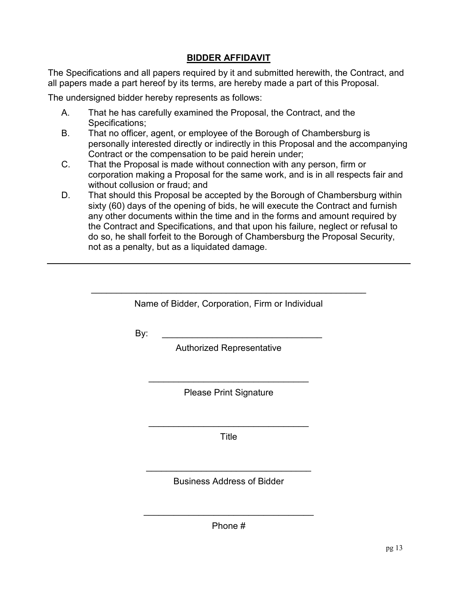# **BIDDER AFFIDAVIT**

The Specifications and all papers required by it and submitted herewith, the Contract, and all papers made a part hereof by its terms, are hereby made a part of this Proposal.

The undersigned bidder hereby represents as follows:

- A. That he has carefully examined the Proposal, the Contract, and the Specifications:
- B. That no officer, agent, or employee of the Borough of Chambersburg is personally interested directly or indirectly in this Proposal and the accompanying Contract or the compensation to be paid herein under;
- C. That the Proposal is made without connection with any person, firm or corporation making a Proposal for the same work, and is in all respects fair and without collusion or fraud; and
- D. That should this Proposal be accepted by the Borough of Chambersburg within sixty (60) days of the opening of bids, he will execute the Contract and furnish any other documents within the time and in the forms and amount required by the Contract and Specifications, and that upon his failure, neglect or refusal to do so, he shall forfeit to the Borough of Chambersburg the Proposal Security, not as a penalty, but as a liquidated damage.

| Name of Bidder, Corporation, Firm or Individual |
|-------------------------------------------------|

By: \_\_\_\_\_\_\_\_\_\_\_\_\_\_\_\_\_\_\_\_\_\_\_\_\_\_\_\_\_\_\_\_

Authorized Representative

\_\_\_\_\_\_\_\_\_\_\_\_\_\_\_\_\_\_\_\_\_\_\_\_\_\_\_\_\_\_\_\_ Please Print Signature

\_\_\_\_\_\_\_\_\_\_\_\_\_\_\_\_\_\_\_\_\_\_\_\_\_\_\_\_\_\_\_\_ **Title** 

\_\_\_\_\_\_\_\_\_\_\_\_\_\_\_\_\_\_\_\_\_\_\_\_\_\_\_\_\_\_\_\_\_ Business Address of Bidder

\_\_\_\_\_\_\_\_\_\_\_\_\_\_\_\_\_\_\_\_\_\_\_\_\_\_\_\_\_\_\_\_\_\_ Phone #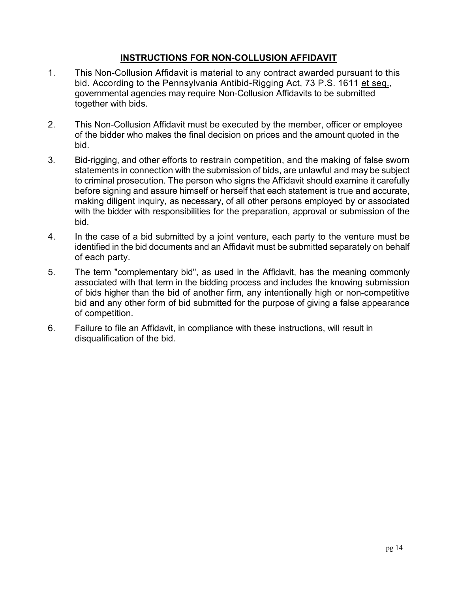# **INSTRUCTIONS FOR NON-COLLUSION AFFIDAVIT**

- 1. This Non-Collusion Affidavit is material to any contract awarded pursuant to this bid. According to the Pennsylvania Antibid-Rigging Act, 73 P.S. 1611 et seq., governmental agencies may require Non-Collusion Affidavits to be submitted together with bids.
- 2. This Non-Collusion Affidavit must be executed by the member, officer or employee of the bidder who makes the final decision on prices and the amount quoted in the bid.
- 3. Bid-rigging, and other efforts to restrain competition, and the making of false sworn statements in connection with the submission of bids, are unlawful and may be subject to criminal prosecution. The person who signs the Affidavit should examine it carefully before signing and assure himself or herself that each statement is true and accurate, making diligent inquiry, as necessary, of all other persons employed by or associated with the bidder with responsibilities for the preparation, approval or submission of the bid.
- 4. In the case of a bid submitted by a joint venture, each party to the venture must be identified in the bid documents and an Affidavit must be submitted separately on behalf of each party.
- 5. The term "complementary bid", as used in the Affidavit, has the meaning commonly associated with that term in the bidding process and includes the knowing submission of bids higher than the bid of another firm, any intentionally high or non-competitive bid and any other form of bid submitted for the purpose of giving a false appearance of competition.
- 6. Failure to file an Affidavit, in compliance with these instructions, will result in disqualification of the bid.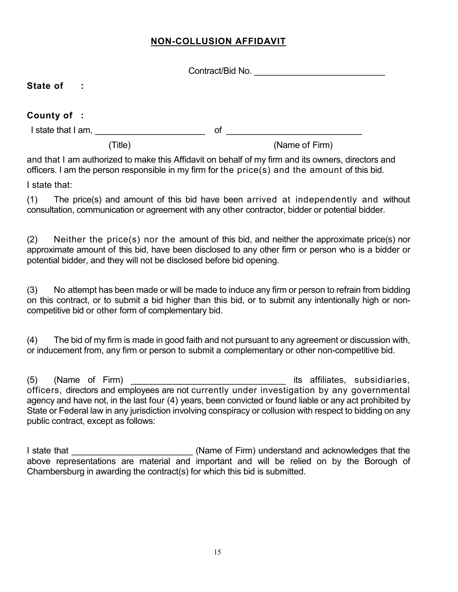# **NON-COLLUSION AFFIDAVIT**

|                       | Contract/Bid No. |  |
|-----------------------|------------------|--|
| State of<br>$\sim 10$ |                  |  |
| County of :           |                  |  |
| I state that I am,    | 0f               |  |
| Title)                | (Name of Firm)   |  |

and that I am authorized to make this Affidavit on behalf of my firm and its owners, directors and officers. I am the person responsible in my firm for the price(s) and the amount of this bid.

I state that:

(1) The price(s) and amount of this bid have been arrived at independently and without consultation, communication or agreement with any other contractor, bidder or potential bidder.

(2) Neither the price(s) nor the amount of this bid, and neither the approximate price(s) nor approximate amount of this bid, have been disclosed to any other firm or person who is a bidder or potential bidder, and they will not be disclosed before bid opening.

(3) No attempt has been made or will be made to induce any firm or person to refrain from bidding on this contract, or to submit a bid higher than this bid, or to submit any intentionally high or noncompetitive bid or other form of complementary bid.

(4) The bid of my firm is made in good faith and not pursuant to any agreement or discussion with, or inducement from, any firm or person to submit a complementary or other non-competitive bid.

(5) (Name of Firm)  $\qquad \qquad$  its affiliates, subsidiaries, officers, directors and employees are not currently under investigation by any governmental agency and have not, in the last four (4) years, been convicted or found liable or any act prohibited by State or Federal law in any jurisdiction involving conspiracy or collusion with respect to bidding on any public contract, except as follows:

I state that **I** is a state that the state that the state that the state of Firm) understand and acknowledges that the above representations are material and important and will be relied on by the Borough of Chambersburg in awarding the contract(s) for which this bid is submitted.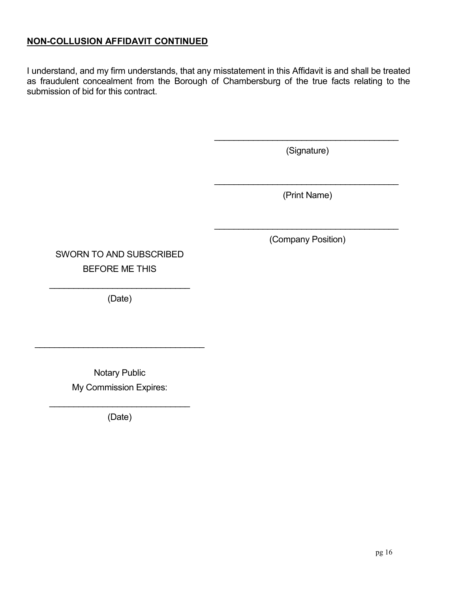# **NON-COLLUSION AFFIDAVIT CONTINUED**

I understand, and my firm understands, that any misstatement in this Affidavit is and shall be treated as fraudulent concealment from the Borough of Chambersburg of the true facts relating to the submission of bid for this contract.

> \_\_\_\_\_\_\_\_\_\_\_\_\_\_\_\_\_\_\_\_\_\_\_\_\_\_\_\_\_\_\_\_\_\_\_\_\_\_ (Signature)

> > (Print Name)

\_\_\_\_\_\_\_\_\_\_\_\_\_\_\_\_\_\_\_\_\_\_\_\_\_\_\_\_\_\_\_\_\_\_\_\_\_\_

\_\_\_\_\_\_\_\_\_\_\_\_\_\_\_\_\_\_\_\_\_\_\_\_\_\_\_\_\_\_\_\_\_\_\_\_\_\_ (Company Position)

SWORN TO AND SUBSCRIBED BEFORE ME THIS

\_\_\_\_\_\_\_\_\_\_\_\_\_\_\_\_\_\_\_\_\_\_\_\_\_\_\_\_\_ (Date)

> Notary Public My Commission Expires:

\_\_\_\_\_\_\_\_\_\_\_\_\_\_\_\_\_\_\_\_\_\_\_\_\_\_\_\_\_\_\_\_\_\_\_

\_\_\_\_\_\_\_\_\_\_\_\_\_\_\_\_\_\_\_\_\_\_\_\_\_\_\_\_\_ (Date)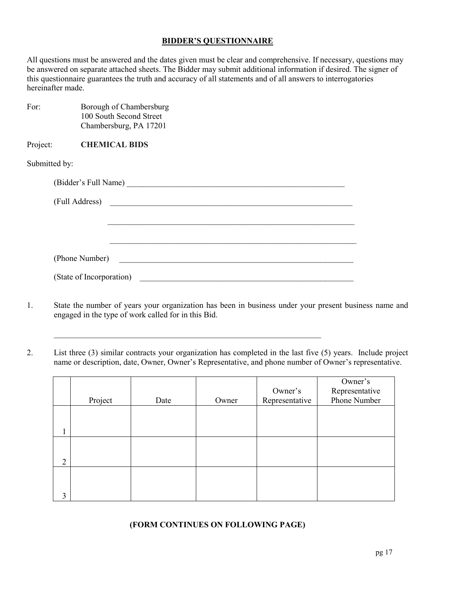## **BIDDER'S QUESTIONNAIRE**

All questions must be answered and the dates given must be clear and comprehensive. If necessary, questions may be answered on separate attached sheets. The Bidder may submit additional information if desired. The signer of this questionnaire guarantees the truth and accuracy of all statements and of all answers to interrogatories hereinafter made.

| For:          | Borough of Chambersburg<br>100 South Second Street<br>Chambersburg, PA 17201     |
|---------------|----------------------------------------------------------------------------------|
| Project:      | <b>CHEMICAL BIDS</b>                                                             |
| Submitted by: |                                                                                  |
|               |                                                                                  |
|               |                                                                                  |
|               |                                                                                  |
|               |                                                                                  |
|               | (Phone Number)<br><u> 1980 - Jan Barbara, martin da kasar Amerika Indonesia.</u> |
|               | (State of Incorporation)                                                         |

 $\_$  , and the set of the set of the set of the set of the set of the set of the set of the set of the set of the set of the set of the set of the set of the set of the set of the set of the set of the set of the set of th

- 1. State the number of years your organization has been in business under your present business name and engaged in the type of work called for in this Bid.
- 2. List three (3) similar contracts your organization has completed in the last five (5) years. Include project name or description, date, Owner, Owner's Representative, and phone number of Owner's representative.

|                |         |      |       |                | Owner's        |
|----------------|---------|------|-------|----------------|----------------|
|                |         |      |       | Owner's        | Representative |
|                | Project | Date | Owner | Representative | Phone Number   |
|                |         |      |       |                |                |
|                |         |      |       |                |                |
|                |         |      |       |                |                |
|                |         |      |       |                |                |
|                |         |      |       |                |                |
| $\overline{2}$ |         |      |       |                |                |
|                |         |      |       |                |                |
|                |         |      |       |                |                |
| 3              |         |      |       |                |                |

## **(FORM CONTINUES ON FOLLOWING PAGE)**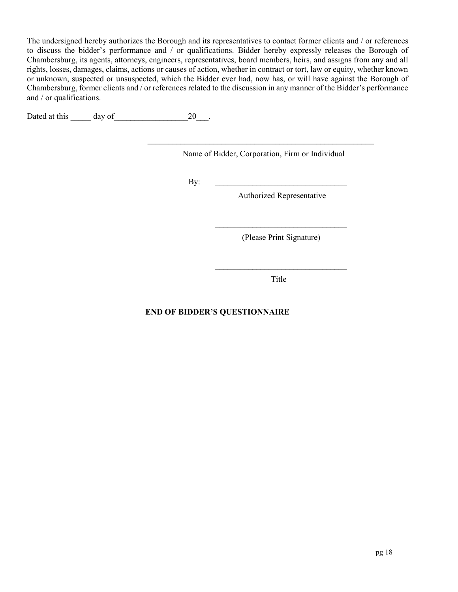The undersigned hereby authorizes the Borough and its representatives to contact former clients and / or references to discuss the bidder's performance and / or qualifications. Bidder hereby expressly releases the Borough of Chambersburg, its agents, attorneys, engineers, representatives, board members, heirs, and assigns from any and all rights, losses, damages, claims, actions or causes of action, whether in contract or tort, law or equity, whether known or unknown, suspected or unsuspected, which the Bidder ever had, now has, or will have against the Borough of Chambersburg, former clients and / or references related to the discussion in any manner of the Bidder's performance and / or qualifications.

Dated at this day of 20 and 20 and 20 and 20 and 20 and 20 and 20 and 20 and 20 and 20

Name of Bidder, Corporation, Firm or Individual

\_\_\_\_\_\_\_\_\_\_\_\_\_\_\_\_\_\_\_\_\_\_\_\_\_\_\_\_\_\_\_\_\_\_\_\_\_\_\_\_\_\_\_\_\_\_\_\_\_\_\_\_\_\_\_

By:  $\qquad \qquad$ 

Authorized Representative

 $\mathcal{L}_\text{max}$  , where  $\mathcal{L}_\text{max}$  is the set of the set of the set of the set of the set of the set of the set of the set of the set of the set of the set of the set of the set of the set of the set of the set of the se (Please Print Signature)

Title

 $\overline{\phantom{a}}$  , where  $\overline{\phantom{a}}$  , where  $\overline{\phantom{a}}$  ,  $\overline{\phantom{a}}$  ,  $\overline{\phantom{a}}$  ,  $\overline{\phantom{a}}$  ,  $\overline{\phantom{a}}$  ,  $\overline{\phantom{a}}$  ,  $\overline{\phantom{a}}$  ,  $\overline{\phantom{a}}$  ,  $\overline{\phantom{a}}$  ,  $\overline{\phantom{a}}$  ,  $\overline{\phantom{a}}$  ,  $\overline{\phantom{a}}$  ,  $\overline{\phantom{a}}$  ,

# **END OF BIDDER'S QUESTIONNAIRE**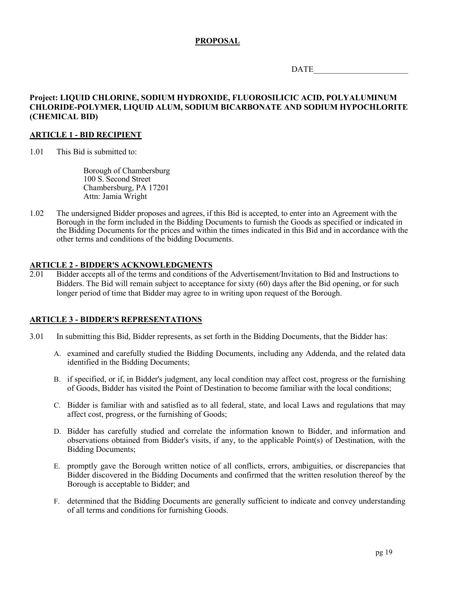## **PROPOSAL**

DATE\_\_\_\_\_\_\_\_\_\_\_\_\_\_\_\_\_\_\_\_\_\_\_

## **Project: LIQUID CHLORINE, SODIUM HYDROXIDE, FLUOROSILICIC ACID, POLYALUMINUM CHLORIDE-POLYMER, LIQUID ALUM, SODIUM BICARBONATE AND SODIUM HYPOCHLORITE (CHEMICAL BID)**

#### **ARTICLE 1 - BID RECIPIENT**

1.01 This Bid is submitted to:

Borough of Chambersburg 100 S. Second Street Chambersburg, PA 17201 Attn: Jamia Wright

1.02 The undersigned Bidder proposes and agrees, if this Bid is accepted, to enter into an Agreement with the Borough in the form included in the Bidding Documents to furnish the Goods as specified or indicated in the Bidding Documents for the prices and within the times indicated in this Bid and in accordance with the other terms and conditions of the bidding Documents.

### **ARTICLE 2 - BIDDER'S ACKNOWLEDGMENTS**

2.01 Bidder accepts all of the terms and conditions of the Advertisement/Invitation to Bid and Instructions to Bidders. The Bid will remain subject to acceptance for sixty (60) days after the Bid opening, or for such longer period of time that Bidder may agree to in writing upon request of the Borough.

### **ARTICLE 3 - BIDDER'S REPRESENTATIONS**

- 3.01 In submitting this Bid, Bidder represents, as set forth in the Bidding Documents, that the Bidder has:
	- A. examined and carefully studied the Bidding Documents, including any Addenda, and the related data identified in the Bidding Documents;
	- B. if specified, or if, in Bidder's judgment, any local condition may affect cost, progress or the furnishing of Goods, Bidder has visited the Point of Destination to become familiar with the local conditions;
	- C. Bidder is familiar with and satisfied as to all federal, state, and local Laws and regulations that may affect cost, progress, or the furnishing of Goods;
	- D. Bidder has carefully studied and correlate the information known to Bidder, and information and observations obtained from Bidder's visits, if any, to the applicable Point(s) of Destination, with the Bidding Documents;
	- E. promptly gave the Borough written notice of all conflicts, errors, ambiguities, or discrepancies that Bidder discovered in the Bidding Documents and confirmed that the written resolution thereof by the Borough is acceptable to Bidder; and
	- F. determined that the Bidding Documents are generally sufficient to indicate and convey understanding of all terms and conditions for furnishing Goods.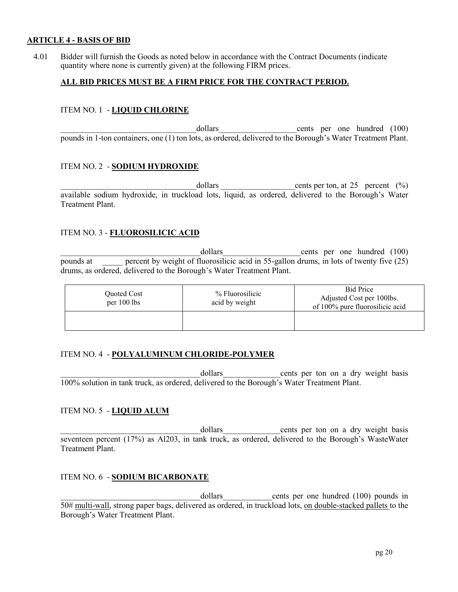## **ARTICLE 4 - BASIS OF BID**

4.01 Bidder will furnish the Goods as noted below in accordance with the Contract Documents (indicate quantity where none is currently given) at the following FIRM prices.

## **ALL BID PRICES MUST BE A FIRM PRICE FOR THE CONTRACT PERIOD.**

### ITEM NO. 1 - **LIQUID CHLORINE**

dollars cents per one hundred (100) pounds in 1-ton containers, one (1) ton lots, as ordered, delivered to the Borough's Water Treatment Plant.

## ITEM NO. 2 - **SODIUM HYDROXIDE**

 $\alpha$  dollars cents per ton, at 25 percent (%) available sodium hydroxide, in truckload lots, liquid, as ordered, delivered to the Borough's Water Treatment Plant.

## ITEM NO. 3 - **FLUOROSILICIC ACID**

dollars cents per one hundred (100) pounds at percent by weight of fluorosilicic acid in 55-gallon drums, in lots of twenty five (25) drums, as ordered, delivered to the Borough's Water Treatment Plant.

| Quoted Cost<br>per 100 lbs | % Fluorosilicic<br>acid by weight | <b>Bid Price</b><br>Adjusted Cost per 100lbs.<br>of 100% pure fluorosilicic acid |  |
|----------------------------|-----------------------------------|----------------------------------------------------------------------------------|--|
|                            |                                   |                                                                                  |  |

### ITEM NO. 4 - **POLYALUMINUM CHLORIDE-POLYMER**

dollars eents per ton on a dry weight basis 100% solution in tank truck, as ordered, delivered to the Borough's Water Treatment Plant.

## ITEM NO. 5 - **LIQUID ALUM**

dollars cents per ton on a dry weight basis seventeen percent (17%) as Al203, in tank truck, as ordered, delivered to the Borough's WasteWater Treatment Plant.

## ITEM NO. 6 - **SODIUM BICARBONATE**

dollars cents per one hundred (100) pounds in 50# multi-wall, strong paper bags, delivered as ordered, in truckload lots, on double-stacked pallets to the Borough's Water Treatment Plant.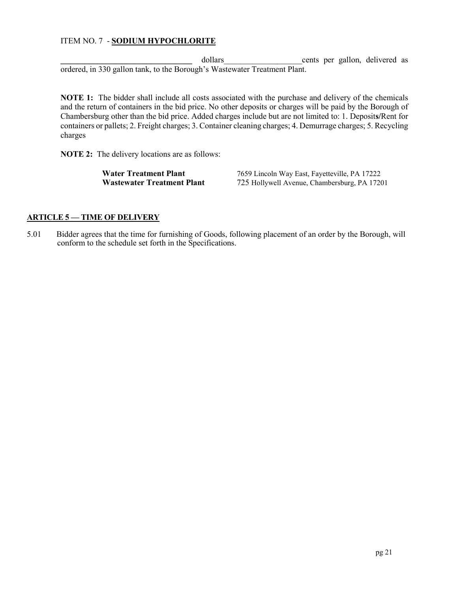## ITEM NO. 7 - **SODIUM HYPOCHLORITE**

dollars **business contract contract contract contract as cents** per gallon, delivered as ordered, in 330 gallon tank, to the Borough's Wastewater Treatment Plant.

**NOTE 1:** The bidder shall include all costs associated with the purchase and delivery of the chemicals and the return of containers in the bid price. No other deposits or charges will be paid by the Borough of Chambersburg other than the bid price. Added charges include but are not limited to: 1. Deposit**s/**Rent for containers or pallets; 2. Freight charges; 3. Container cleaning charges; 4. Demurrage charges; 5. Recycling charges

**NOTE 2:** The delivery locations are as follows:

**Water Treatment Plant** 7659 Lincoln Way East, Fayetteville, PA 17222 **Wastewater Treatment Plant** 725 Hollywell Avenue, Chambersburg, PA 17201

## **ARTICLE 5 — TIME OF DELIVERY**

5.01 Bidder agrees that the time for furnishing of Goods, following placement of an order by the Borough, will conform to the schedule set forth in the Specifications.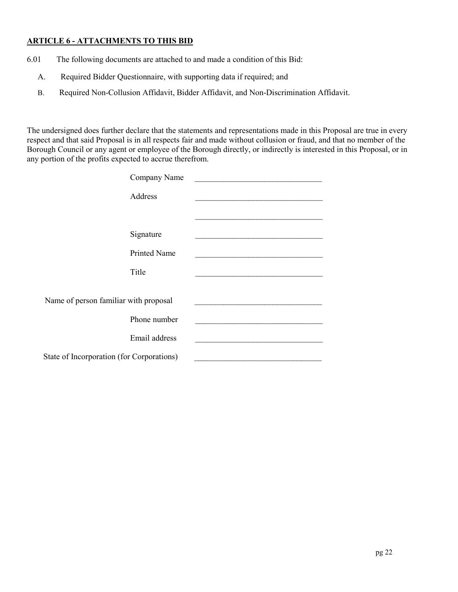## **ARTICLE 6 - ATTACHMENTS TO THIS BID**

- 6.01 The following documents are attached to and made a condition of this Bid:
	- A. Required Bidder Questionnaire, with supporting data if required; and
	- B. Required Non-Collusion Affidavit, Bidder Affidavit, and Non-Discrimination Affidavit.

The undersigned does further declare that the statements and representations made in this Proposal are true in every respect and that said Proposal is in all respects fair and made without collusion or fraud, and that no member of the Borough Council or any agent or employee of the Borough directly, or indirectly is interested in this Proposal, or in any portion of the profits expected to accrue therefrom.

| Company Name                              |  |
|-------------------------------------------|--|
| Address                                   |  |
|                                           |  |
| Signature                                 |  |
| <b>Printed Name</b>                       |  |
| Title                                     |  |
| Name of person familiar with proposal     |  |
| Phone number                              |  |
| Email address                             |  |
| State of Incorporation (for Corporations) |  |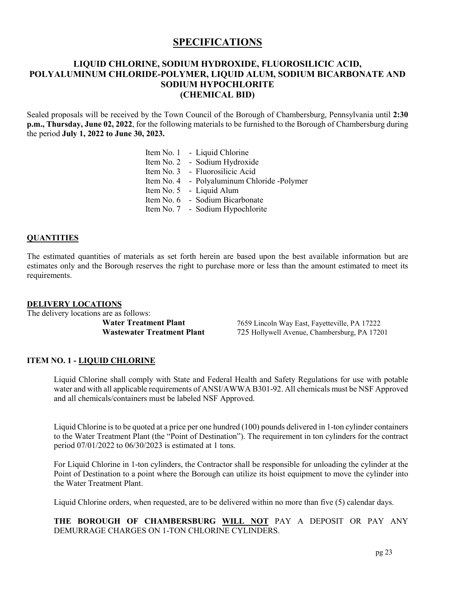# **SPECIFICATIONS**

## **LIQUID CHLORINE, SODIUM HYDROXIDE, FLUOROSILICIC ACID, POLYALUMINUM CHLORIDE-POLYMER, LIQUID ALUM, SODIUM BICARBONATE AND SODIUM HYPOCHLORITE (CHEMICAL BID)**

Sealed proposals will be received by the Town Council of the Borough of Chambersburg, Pennsylvania until **2:30 p.m., Thursday, June 02, 2022**, for the following materials to be furnished to the Borough of Chambersburg during the period **July 1, 2022 to June 30, 2023.**

- Item No. 1 Liquid Chlorine
- Item No. 2 Sodium Hydroxide
- Item No. 3 Fluorosilicic Acid
- Item No. 4 Polyaluminum Chloride -Polymer
- Item No. 5 Liquid Alum
- Item No. 6 Sodium Bicarbonate
- Item No. 7 Sodium Hypochlorite

#### **QUANTITIES**

The estimated quantities of materials as set forth herein are based upon the best available information but are estimates only and the Borough reserves the right to purchase more or less than the amount estimated to meet its requirements.

#### **DELIVERY LOCATIONS**

The delivery locations are as follows:

**Water Treatment Plant** 7659 Lincoln Way East, Fayetteville, PA 17222 **Wastewater Treatment Plant** 725 Hollywell Avenue, Chambersburg, PA 17201

#### **ITEM NO. 1 - LIQUID CHLORINE**

Liquid Chlorine shall comply with State and Federal Health and Safety Regulations for use with potable water and with all applicable requirements of ANSI/AWWA B301-92. All chemicals must be NSF Approved and all chemicals/containers must be labeled NSF Approved.

Liquid Chlorine is to be quoted at a price per one hundred (100) pounds delivered in 1-ton cylinder containers to the Water Treatment Plant (the "Point of Destination"). The requirement in ton cylinders for the contract period 07/01/2022 to 06/30/2023 is estimated at 1 tons.

For Liquid Chlorine in 1-ton cylinders, the Contractor shall be responsible for unloading the cylinder at the Point of Destination to a point where the Borough can utilize its hoist equipment to move the cylinder into the Water Treatment Plant.

Liquid Chlorine orders, when requested, are to be delivered within no more than five (5) calendar days.

### **THE BOROUGH OF CHAMBERSBURG WILL NOT** PAY A DEPOSIT OR PAY ANY DEMURRAGE CHARGES ON 1-TON CHLORINE CYLINDERS.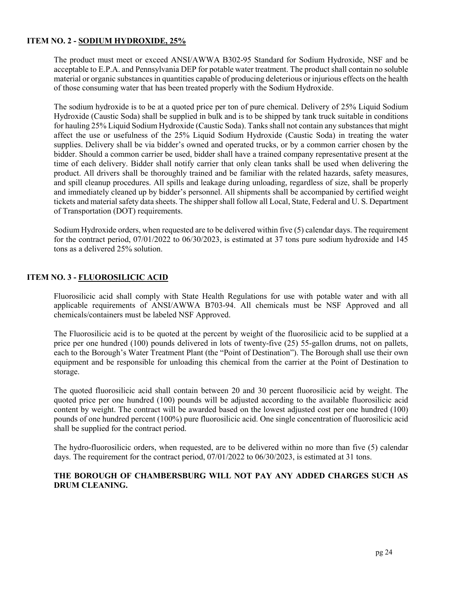## **ITEM NO. 2 - SODIUM HYDROXIDE, 25%**

The product must meet or exceed ANSI/AWWA B302-95 Standard for Sodium Hydroxide, NSF and be acceptable to E.P.A. and Pennsylvania DEP for potable water treatment. The product shall contain no soluble material or organic substances in quantities capable of producing deleterious or injurious effects on the health of those consuming water that has been treated properly with the Sodium Hydroxide.

The sodium hydroxide is to be at a quoted price per ton of pure chemical. Delivery of 25% Liquid Sodium Hydroxide (Caustic Soda) shall be supplied in bulk and is to be shipped by tank truck suitable in conditions for hauling 25% Liquid Sodium Hydroxide (Caustic Soda). Tanks shall not contain any substances that might affect the use or usefulness of the 25% Liquid Sodium Hydroxide (Caustic Soda) in treating the water supplies. Delivery shall be via bidder's owned and operated trucks, or by a common carrier chosen by the bidder. Should a common carrier be used, bidder shall have a trained company representative present at the time of each delivery. Bidder shall notify carrier that only clean tanks shall be used when delivering the product. All drivers shall be thoroughly trained and be familiar with the related hazards, safety measures, and spill cleanup procedures. All spills and leakage during unloading, regardless of size, shall be properly and immediately cleaned up by bidder's personnel. All shipments shall be accompanied by certified weight tickets and material safety data sheets. The shipper shall follow all Local, State, Federal and U. S. Department of Transportation (DOT) requirements.

Sodium Hydroxide orders, when requested are to be delivered within five (5) calendar days. The requirement for the contract period, 07/01/2022 to 06/30/2023, is estimated at 37 tons pure sodium hydroxide and 145 tons as a delivered 25% solution.

## **ITEM NO. 3 - FLUOROSILICIC ACID**

Fluorosilicic acid shall comply with State Health Regulations for use with potable water and with all applicable requirements of ANSI/AWWA B703-94. All chemicals must be NSF Approved and all chemicals/containers must be labeled NSF Approved.

The Fluorosilicic acid is to be quoted at the percent by weight of the fluorosilicic acid to be supplied at a price per one hundred (100) pounds delivered in lots of twenty-five (25) 55-gallon drums, not on pallets, each to the Borough's Water Treatment Plant (the "Point of Destination"). The Borough shall use their own equipment and be responsible for unloading this chemical from the carrier at the Point of Destination to storage.

The quoted fluorosilicic acid shall contain between 20 and 30 percent fluorosilicic acid by weight. The quoted price per one hundred (100) pounds will be adjusted according to the available fluorosilicic acid content by weight. The contract will be awarded based on the lowest adjusted cost per one hundred (100) pounds of one hundred percent (100%) pure fluorosilicic acid. One single concentration of fluorosilicic acid shall be supplied for the contract period.

The hydro-fluorosilicic orders, when requested, are to be delivered within no more than five (5) calendar days. The requirement for the contract period,  $07/01/2022$  to  $06/30/2023$ , is estimated at 31 tons.

### **THE BOROUGH OF CHAMBERSBURG WILL NOT PAY ANY ADDED CHARGES SUCH AS DRUM CLEANING.**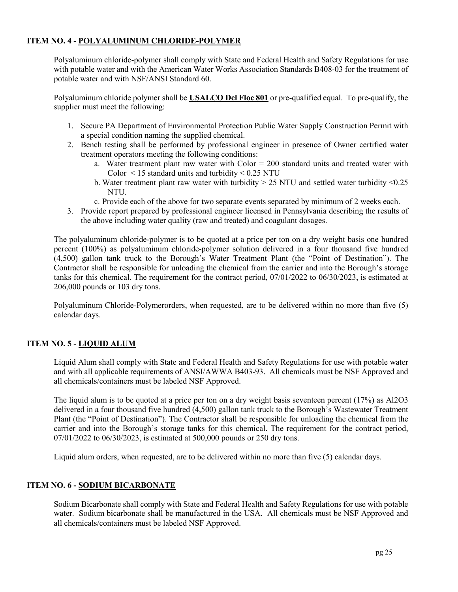## **ITEM NO. 4 - POLYALUMINUM CHLORIDE-POLYMER**

Polyaluminum chloride-polymer shall comply with State and Federal Health and Safety Regulations for use with potable water and with the American Water Works Association Standards B408-03 for the treatment of potable water and with NSF/ANSI Standard 60.

Polyaluminum chloride polymer shall be **USALCO Del Floc 801** or pre-qualified equal. To pre-qualify, the supplier must meet the following:

- 1. Secure PA Department of Environmental Protection Public Water Supply Construction Permit with a special condition naming the supplied chemical.
- 2. Bench testing shall be performed by professional engineer in presence of Owner certified water treatment operators meeting the following conditions:
	- a. Water treatment plant raw water with Color = 200 standard units and treated water with Color  $\leq$  15 standard units and turbidity  $\leq$  0.25 NTU
	- b. Water treatment plant raw water with turbidity > 25 NTU and settled water turbidity <0.25 NTU.
	- c. Provide each of the above for two separate events separated by minimum of 2 weeks each.
- 3. Provide report prepared by professional engineer licensed in Pennsylvania describing the results of the above including water quality (raw and treated) and coagulant dosages.

The polyaluminum chloride-polymer is to be quoted at a price per ton on a dry weight basis one hundred percent (100%) as polyaluminum chloride-polymer solution delivered in a four thousand five hundred (4,500) gallon tank truck to the Borough's Water Treatment Plant (the "Point of Destination"). The Contractor shall be responsible for unloading the chemical from the carrier and into the Borough's storage tanks for this chemical. The requirement for the contract period, 07/01/2022 to 06/30/2023, is estimated at 206,000 pounds or 103 dry tons.

Polyaluminum Chloride-Polymerorders, when requested, are to be delivered within no more than five (5) calendar days.

## **ITEM NO. 5 - LIQUID ALUM**

Liquid Alum shall comply with State and Federal Health and Safety Regulations for use with potable water and with all applicable requirements of ANSI/AWWA B403-93. All chemicals must be NSF Approved and all chemicals/containers must be labeled NSF Approved.

The liquid alum is to be quoted at a price per ton on a dry weight basis seventeen percent (17%) as Al2O3 delivered in a four thousand five hundred (4,500) gallon tank truck to the Borough's Wastewater Treatment Plant (the "Point of Destination"). The Contractor shall be responsible for unloading the chemical from the carrier and into the Borough's storage tanks for this chemical. The requirement for the contract period, 07/01/2022 to 06/30/2023, is estimated at 500,000 pounds or 250 dry tons.

Liquid alum orders, when requested, are to be delivered within no more than five (5) calendar days.

## **ITEM NO. 6 - SODIUM BICARBONATE**

Sodium Bicarbonate shall comply with State and Federal Health and Safety Regulations for use with potable water. Sodium bicarbonate shall be manufactured in the USA. All chemicals must be NSF Approved and all chemicals/containers must be labeled NSF Approved.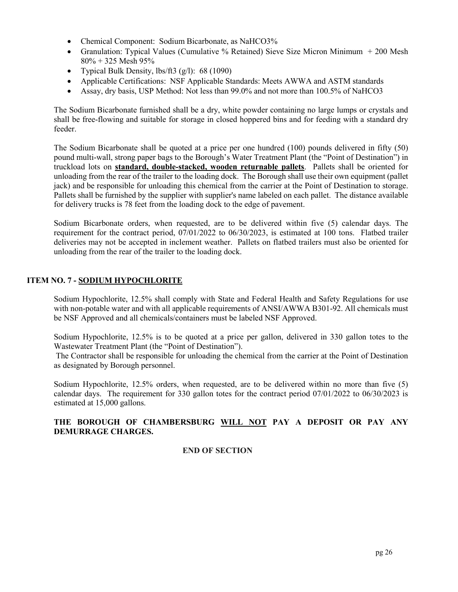- Chemical Component: Sodium Bicarbonate, as NaHCO3%
- Granulation: Typical Values (Cumulative % Retained) Sieve Size Micron Minimum + 200 Mesh 80% + 325 Mesh 95%
- Typical Bulk Density,  $\frac{1}{5}$  (g/l): 68 (1090)
- Applicable Certifications: NSF Applicable Standards: Meets AWWA and ASTM standards
- Assay, dry basis, USP Method: Not less than 99.0% and not more than 100.5% of NaHCO3

The Sodium Bicarbonate furnished shall be a dry, white powder containing no large lumps or crystals and shall be free-flowing and suitable for storage in closed hoppered bins and for feeding with a standard dry feeder.

The Sodium Bicarbonate shall be quoted at a price per one hundred (100) pounds delivered in fifty (50) pound multi-wall, strong paper bags to the Borough's Water Treatment Plant (the "Point of Destination") in truckload lots on **standard, double-stacked, wooden returnable pallets**. Pallets shall be oriented for unloading from the rear of the trailer to the loading dock. The Borough shall use their own equipment (pallet jack) and be responsible for unloading this chemical from the carrier at the Point of Destination to storage. Pallets shall be furnished by the supplier with supplier's name labeled on each pallet. The distance available for delivery trucks is 78 feet from the loading dock to the edge of pavement.

Sodium Bicarbonate orders, when requested, are to be delivered within five (5) calendar days. The requirement for the contract period, 07/01/2022 to 06/30/2023, is estimated at 100 tons. Flatbed trailer deliveries may not be accepted in inclement weather. Pallets on flatbed trailers must also be oriented for unloading from the rear of the trailer to the loading dock.

## **ITEM NO. 7 - SODIUM HYPOCHLORITE**

Sodium Hypochlorite, 12.5% shall comply with State and Federal Health and Safety Regulations for use with non-potable water and with all applicable requirements of ANSI/AWWA B301-92. All chemicals must be NSF Approved and all chemicals/containers must be labeled NSF Approved.

Sodium Hypochlorite, 12.5% is to be quoted at a price per gallon, delivered in 330 gallon totes to the Wastewater Treatment Plant (the "Point of Destination").

The Contractor shall be responsible for unloading the chemical from the carrier at the Point of Destination as designated by Borough personnel.

Sodium Hypochlorite, 12.5% orders, when requested, are to be delivered within no more than five (5) calendar days. The requirement for 330 gallon totes for the contract period  $07/01/2022$  to  $06/30/2023$  is estimated at 15,000 gallons.

## **THE BOROUGH OF CHAMBERSBURG WILL NOT PAY A DEPOSIT OR PAY ANY DEMURRAGE CHARGES.**

## **END OF SECTION**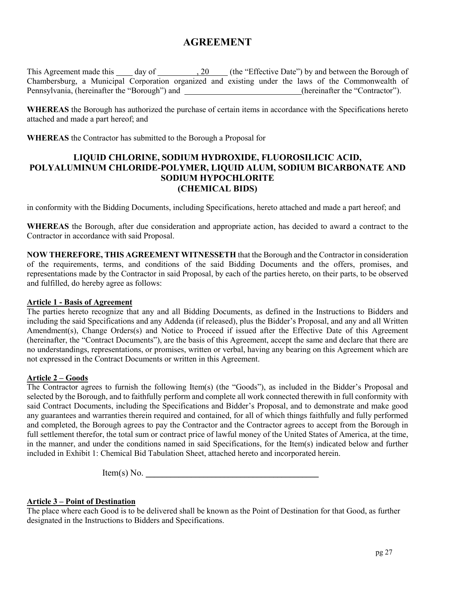# **AGREEMENT**

This Agreement made this  $\_\_\_$  day of  $\_\_\_\_$ , 20  $\_\_\_$  (the "Effective Date") by and between the Borough of Chambersburg, a Municipal Corporation organized and existing under the laws of the Commonwealth of Pennsylvania, (hereinafter the "Borough") and (hereinafter the "Contractor").

**WHEREAS** the Borough has authorized the purchase of certain items in accordance with the Specifications hereto attached and made a part hereof; and

**WHEREAS** the Contractor has submitted to the Borough a Proposal for

## **LIQUID CHLORINE, SODIUM HYDROXIDE, FLUOROSILICIC ACID, POLYALUMINUM CHLORIDE-POLYMER, LIQUID ALUM, SODIUM BICARBONATE AND SODIUM HYPOCHLORITE (CHEMICAL BIDS)**

in conformity with the Bidding Documents, including Specifications, hereto attached and made a part hereof; and

**WHEREAS** the Borough, after due consideration and appropriate action, has decided to award a contract to the Contractor in accordance with said Proposal.

**NOW THEREFORE, THIS AGREEMENT WITNESSETH** that the Borough and the Contractor in consideration of the requirements, terms, and conditions of the said Bidding Documents and the offers, promises, and representations made by the Contractor in said Proposal, by each of the parties hereto, on their parts, to be observed and fulfilled, do hereby agree as follows:

### **Article 1 - Basis of Agreement**

The parties hereto recognize that any and all Bidding Documents, as defined in the Instructions to Bidders and including the said Specifications and any Addenda (if released), plus the Bidder's Proposal, and any and all Written Amendment(s), Change Orders(s) and Notice to Proceed if issued after the Effective Date of this Agreement (hereinafter, the "Contract Documents"), are the basis of this Agreement, accept the same and declare that there are no understandings, representations, or promises, written or verbal, having any bearing on this Agreement which are not expressed in the Contract Documents or written in this Agreement.

### **Article 2 – Goods**

The Contractor agrees to furnish the following Item(s) (the "Goods"), as included in the Bidder's Proposal and selected by the Borough, and to faithfully perform and complete all work connected therewith in full conformity with said Contract Documents, including the Specifications and Bidder's Proposal, and to demonstrate and make good any guarantees and warranties therein required and contained, for all of which things faithfully and fully performed and completed, the Borough agrees to pay the Contractor and the Contractor agrees to accept from the Borough in full settlement therefor, the total sum or contract price of lawful money of the United States of America, at the time, in the manner, and under the conditions named in said Specifications, for the Item(s) indicated below and further included in Exhibit 1: Chemical Bid Tabulation Sheet, attached hereto and incorporated herein.

 $Item(s) No.$ 

## **Article 3 – Point of Destination**

The place where each Good is to be delivered shall be known as the Point of Destination for that Good, as further designated in the Instructions to Bidders and Specifications.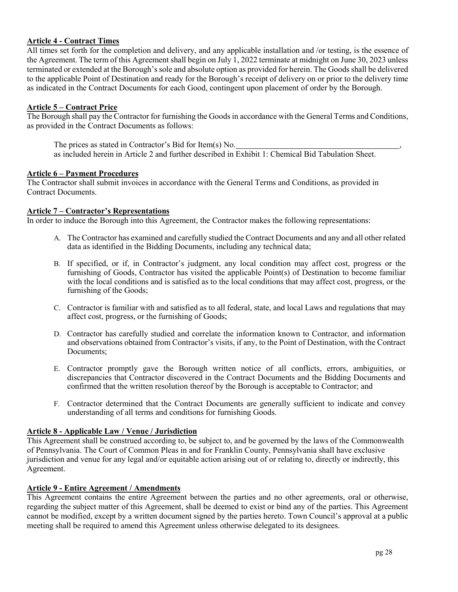## **Article 4 - Contract Times**

All times set forth for the completion and delivery, and any applicable installation and /or testing, is the essence of the Agreement. The term of this Agreement shall begin on July 1, 2022 terminate at midnight on June 30, 2023 unless terminated or extended at the Borough's sole and absolute option as provided for herein. The Goods shall be delivered to the applicable Point of Destination and ready for the Borough's receipt of delivery on or prior to the delivery time as indicated in the Contract Documents for each Good, contingent upon placement of order by the Borough.

## **Article 5 – Contract Price**

The Borough shall pay the Contractor for furnishing the Goods in accordance with the General Terms and Conditions, as provided in the Contract Documents as follows:

The prices as stated in Contractor's Bid for Item(s) No. as included herein in Article 2 and further described in Exhibit 1: Chemical Bid Tabulation Sheet.

#### **Article 6 – Payment Procedures**

The Contractor shall submit invoices in accordance with the General Terms and Conditions, as provided in Contract Documents.

#### **Article 7 – Contractor's Representations**

In order to induce the Borough into this Agreement, the Contractor makes the following representations:

- A. The Contractor has examined and carefully studied the Contract Documents and any and all other related data as identified in the Bidding Documents, including any technical data;
- B. If specified, or if, in Contractor's judgment, any local condition may affect cost, progress or the furnishing of Goods, Contractor has visited the applicable Point(s) of Destination to become familiar with the local conditions and is satisfied as to the local conditions that may affect cost, progress, or the furnishing of the Goods;
- C. Contractor is familiar with and satisfied as to all federal, state, and local Laws and regulations that may affect cost, progress, or the furnishing of Goods;
- D. Contractor has carefully studied and correlate the information known to Contractor, and information and observations obtained from Contractor's visits, if any, to the Point of Destination, with the Contract Documents;
- E. Contractor promptly gave the Borough written notice of all conflicts, errors, ambiguities, or discrepancies that Contractor discovered in the Contract Documents and the Bidding Documents and confirmed that the written resolution thereof by the Borough is acceptable to Contractor; and
- F. Contractor determined that the Contract Documents are generally sufficient to indicate and convey understanding of all terms and conditions for furnishing Goods.

## **Article 8 - Applicable Law / Venue / Jurisdiction**

This Agreement shall be construed according to, be subject to, and be governed by the laws of the Commonwealth of Pennsylvania. The Court of Common Pleas in and for Franklin County, Pennsylvania shall have exclusive jurisdiction and venue for any legal and/or equitable action arising out of or relating to, directly or indirectly, this Agreement.

### **Article 9 - Entire Agreement / Amendments**

This Agreement contains the entire Agreement between the parties and no other agreements, oral or otherwise, regarding the subject matter of this Agreement, shall be deemed to exist or bind any of the parties. This Agreement cannot be modified, except by a written document signed by the parties hereto. Town Council's approval at a public meeting shall be required to amend this Agreement unless otherwise delegated to its designees.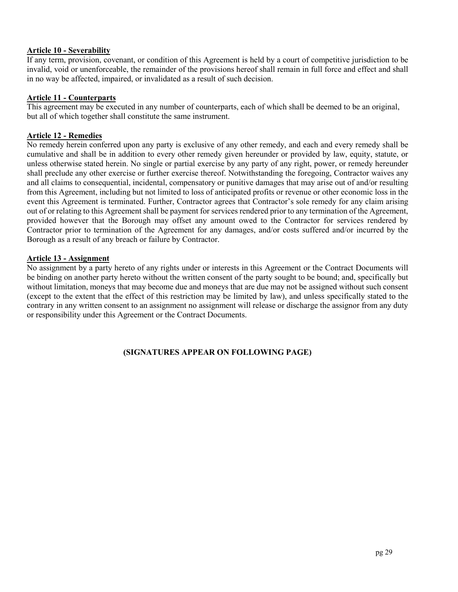#### **Article 10 - Severability**

If any term, provision, covenant, or condition of this Agreement is held by a court of competitive jurisdiction to be invalid, void or unenforceable, the remainder of the provisions hereof shall remain in full force and effect and shall in no way be affected, impaired, or invalidated as a result of such decision.

#### **Article 11 - Counterparts**

This agreement may be executed in any number of counterparts, each of which shall be deemed to be an original, but all of which together shall constitute the same instrument.

## **Article 12 - Remedies**

No remedy herein conferred upon any party is exclusive of any other remedy, and each and every remedy shall be cumulative and shall be in addition to every other remedy given hereunder or provided by law, equity, statute, or unless otherwise stated herein. No single or partial exercise by any party of any right, power, or remedy hereunder shall preclude any other exercise or further exercise thereof. Notwithstanding the foregoing, Contractor waives any and all claims to consequential, incidental, compensatory or punitive damages that may arise out of and/or resulting from this Agreement, including but not limited to loss of anticipated profits or revenue or other economic loss in the event this Agreement is terminated. Further, Contractor agrees that Contractor's sole remedy for any claim arising out of or relating to this Agreement shall be payment for services rendered prior to any termination of the Agreement, provided however that the Borough may offset any amount owed to the Contractor for services rendered by Contractor prior to termination of the Agreement for any damages, and/or costs suffered and/or incurred by the Borough as a result of any breach or failure by Contractor.

### **Article 13 - Assignment**

No assignment by a party hereto of any rights under or interests in this Agreement or the Contract Documents will be binding on another party hereto without the written consent of the party sought to be bound; and, specifically but without limitation, moneys that may become due and moneys that are due may not be assigned without such consent (except to the extent that the effect of this restriction may be limited by law), and unless specifically stated to the contrary in any written consent to an assignment no assignment will release or discharge the assignor from any duty or responsibility under this Agreement or the Contract Documents.

### **(SIGNATURES APPEAR ON FOLLOWING PAGE)**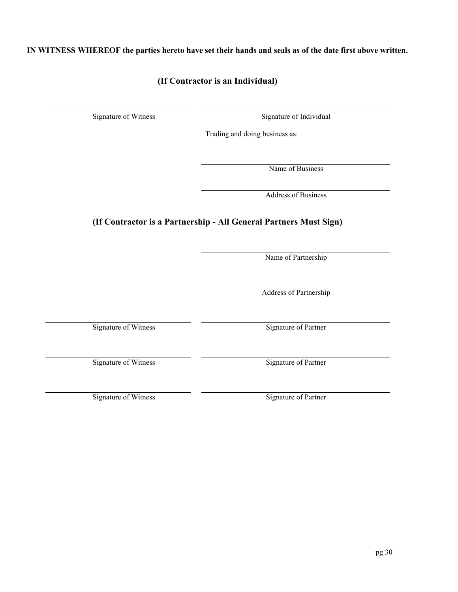pg 30

**IN WITNESS WHEREOF the parties hereto have set their hands and seals as of the date first above written.**

# **(If Contractor is an Individual)**

Signature of Witness Signature of Individual

Trading and doing business as:

Name of Business

Address of Business

# **(If Contractor is a Partnership - All General Partners Must Sign)**

Name of Partnership

Address of Partnership

Signature of Witness Signature of Partner

Signature of Witness Signature of Partner

Signature of Witness Signature of Partner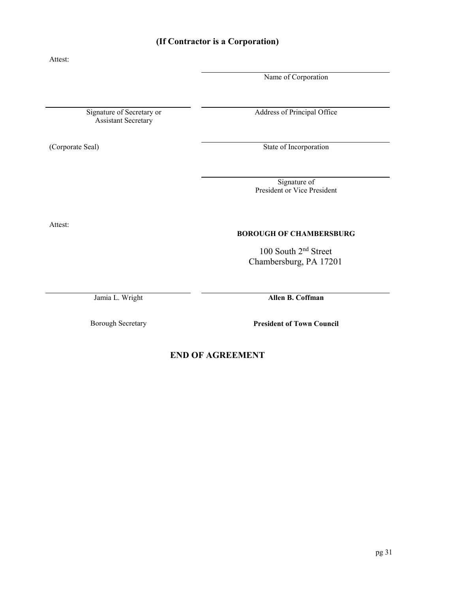# **BOROUGH OF CHAMBERSBURG**

100 South 2nd Street Chambersburg, PA 17201

Jamia L. Wright **Allen B. Coffman**

Borough Secretary **President of Town Council**

**END OF AGREEMENT**

# **(If Contractor is a Corporation)**

Signature of Secretary or Assistant Secretary

Attest:

Name of Corporation

Address of Principal Office

(Corporate Seal) State of Incorporation

Signature of President or Vice President

Attest:

pg 31